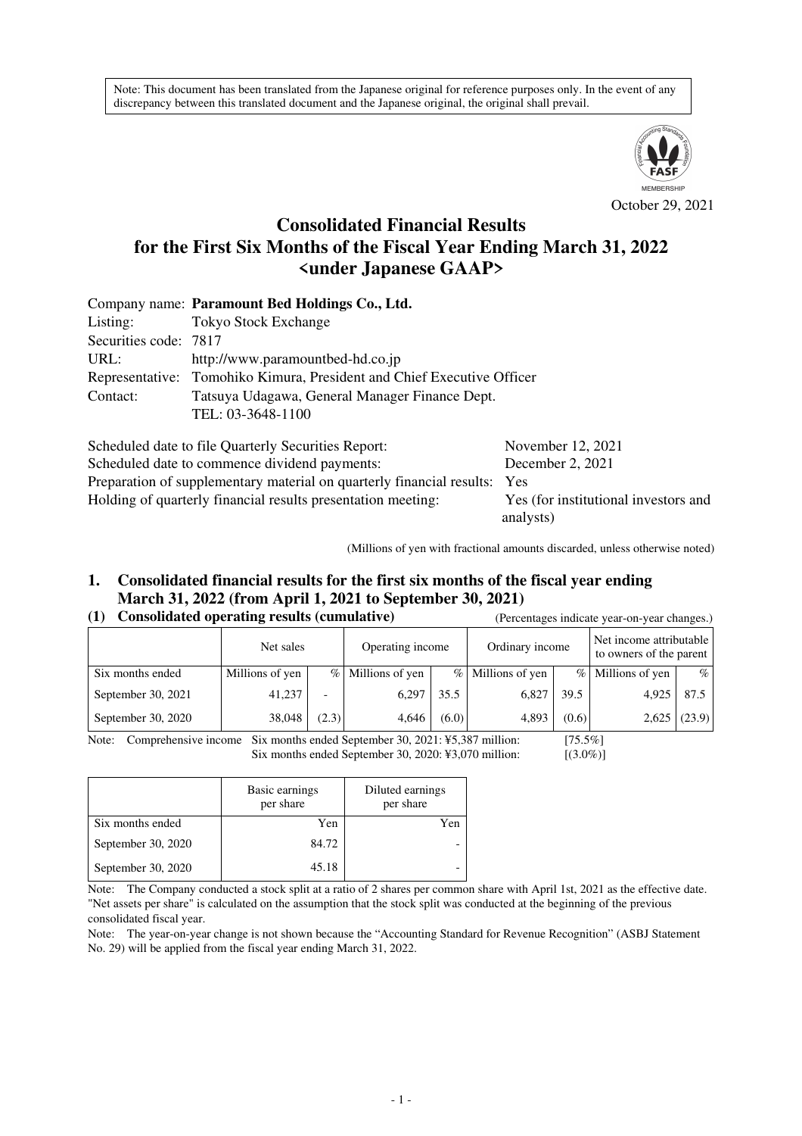Note: This document has been translated from the Japanese original for reference purposes only. In the event of any discrepancy between this translated document and the Japanese original, the original shall prevail.



October 29, 2021

# **Consolidated Financial Results for the First Six Months of the Fiscal Year Ending March 31, 2022 <under Japanese GAAP>**

|                       | Company name: Paramount Bed Holdings Co., Ltd.                         |                   |  |  |  |  |  |
|-----------------------|------------------------------------------------------------------------|-------------------|--|--|--|--|--|
| Listing:              | <b>Tokyo Stock Exchange</b>                                            |                   |  |  |  |  |  |
| Securities code: 7817 |                                                                        |                   |  |  |  |  |  |
| URL:                  | http://www.paramountbed-hd.co.jp                                       |                   |  |  |  |  |  |
|                       | Representative: Tomohiko Kimura, President and Chief Executive Officer |                   |  |  |  |  |  |
| Contact:              | Tatsuya Udagawa, General Manager Finance Dept.                         |                   |  |  |  |  |  |
|                       | TEL: 03-3648-1100                                                      |                   |  |  |  |  |  |
|                       | Scheduled date to file Quarterly Securities Report:                    | November 12, 2021 |  |  |  |  |  |
|                       | Scheduled date to commence dividend payments:                          | December 2 2021   |  |  |  |  |  |

Scheduled date to commence dividend payments: December 2, 2021 Preparation of supplementary material on quarterly financial results: Yes Holding of quarterly financial results presentation meeting: Yes (for institutional investors and analysts)

(Millions of yen with fractional amounts discarded, unless otherwise noted)

# **1. Consolidated financial results for the first six months of the fiscal year ending March 31, 2022 (from April 1, 2021 to September 30, 2021)**

#### **(1) Consolidated operating results (cumulative)** (Percentages indicate year-on-year changes.)

|                    | Net sales       |                          | Operating income    |       | Ordinary income     |       | Net income attributable<br>to owners of the parent |                |
|--------------------|-----------------|--------------------------|---------------------|-------|---------------------|-------|----------------------------------------------------|----------------|
| Six months ended   | Millions of yen |                          | $%$ Millions of yen |       | $%$ Millions of yen |       | % Millions of yen                                  | $\%$           |
| September 30, 2021 | 41,237          | $\overline{\phantom{0}}$ | 6.297               | 35.5  | 6,827               | 39.5  | 4.925                                              | 87.5           |
| September 30, 2020 | 38,048          | (2.3)                    | 4,646               | (6.0) | 4,893               | (0.6) |                                                    | $2,625$ (23.9) |

Note: Comprehensive income Six months ended September 30, 2021: ¥5,387 million: [75.5%] Six months ended September 30, 2020: ¥3,070 million: [(3.0%)]

|                    | Basic earnings<br>per share | Diluted earnings<br>per share |  |
|--------------------|-----------------------------|-------------------------------|--|
| Six months ended   | Yen                         | Yen                           |  |
| September 30, 2020 | 84.72                       |                               |  |
| September 30, 2020 | 45.18                       |                               |  |

Note: The Company conducted a stock split at a ratio of 2 shares per common share with April 1st, 2021 as the effective date. "Net assets per share" is calculated on the assumption that the stock split was conducted at the beginning of the previous consolidated fiscal year.

Note: The year-on-year change is not shown because the "Accounting Standard for Revenue Recognition" (ASBJ Statement No. 29) will be applied from the fiscal year ending March 31, 2022.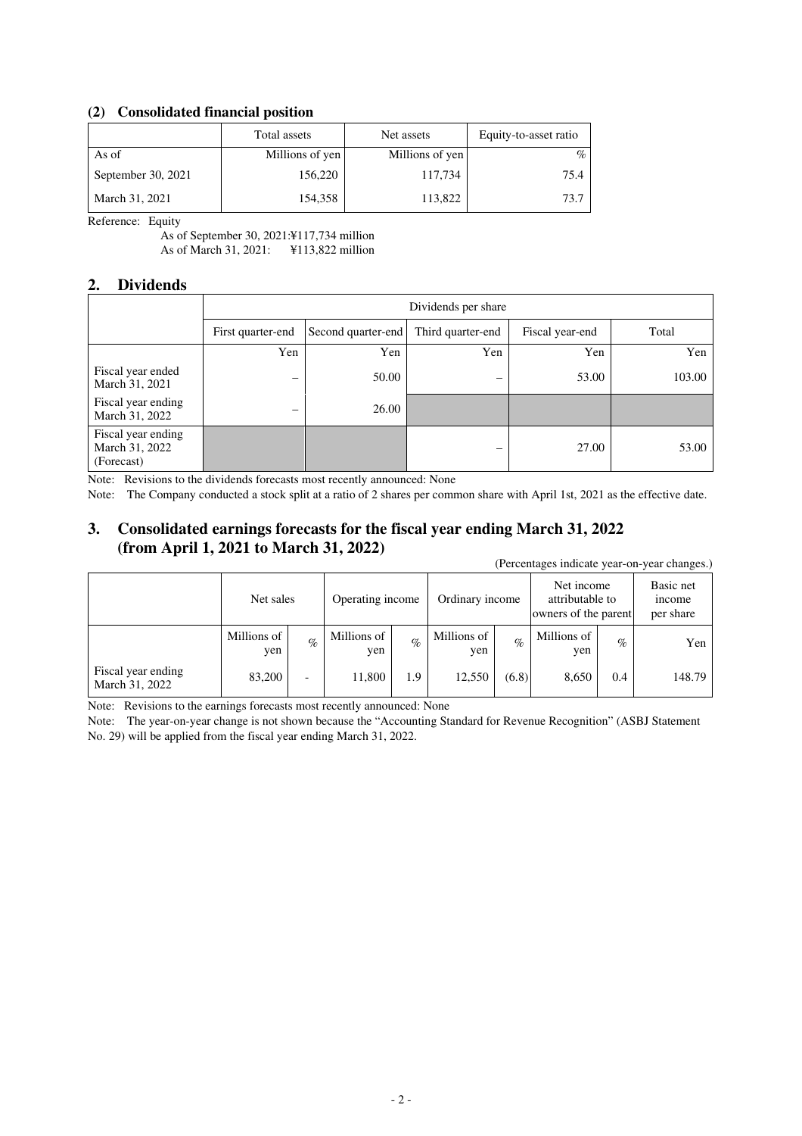### **(2) Consolidated financial position**

|                    | Total assets    | Net assets      | Equity-to-asset ratio |
|--------------------|-----------------|-----------------|-----------------------|
| As of              | Millions of yen | Millions of yen | $\%$                  |
| September 30, 2021 | 156,220         | 117,734         | 75.4                  |
| March 31, 2021     | 154,358         | 113,822         | 73.7                  |

Reference: Equity

As of September 30, 2021:¥117,734 million As of March 31, 2021: ¥113,822 million

#### **2. Dividends**

|                                                    | Dividends per share |                    |                   |                 |        |  |  |  |
|----------------------------------------------------|---------------------|--------------------|-------------------|-----------------|--------|--|--|--|
|                                                    | First quarter-end   | Second quarter-end | Third quarter-end | Fiscal year-end | Total  |  |  |  |
|                                                    | Yen                 | Yen                | Yen               | Yen             | Yen    |  |  |  |
| Fiscal year ended<br>March 31, 2021                | -                   | 50.00              | -                 | 53.00           | 103.00 |  |  |  |
| Fiscal year ending<br>March 31, 2022               | –                   | 26.00              |                   |                 |        |  |  |  |
| Fiscal year ending<br>March 31, 2022<br>(Forecast) |                     |                    |                   | 27.00           | 53.00  |  |  |  |

Note: Revisions to the dividends forecasts most recently announced: None

Note: The Company conducted a stock split at a ratio of 2 shares per common share with April 1st, 2021 as the effective date.

# **3. Consolidated earnings forecasts for the fiscal year ending March 31, 2022 (from April 1, 2021 to March 31, 2022)**

(Percentages indicate year-on-year changes.)

|                                      | Net sales          |                          | Operating income   |      | Ordinary income    |       | Net income<br>attributable to<br>owners of the parent |      | Basic net<br><i>n</i> come<br>per share |
|--------------------------------------|--------------------|--------------------------|--------------------|------|--------------------|-------|-------------------------------------------------------|------|-----------------------------------------|
|                                      | Millions of<br>yen | $\%$                     | Millions of<br>yen | $\%$ | Millions of<br>yen | $\%$  | Millions of<br>yen                                    | $\%$ | Yen                                     |
| Fiscal year ending<br>March 31, 2022 | 83,200             | $\overline{\phantom{0}}$ | 11,800             | 1.9  | 12,550             | (6.8) | 8,650                                                 | 0.4  | 148.79                                  |

Note: Revisions to the earnings forecasts most recently announced: None

Note: The year-on-year change is not shown because the "Accounting Standard for Revenue Recognition" (ASBJ Statement No. 29) will be applied from the fiscal year ending March 31, 2022.